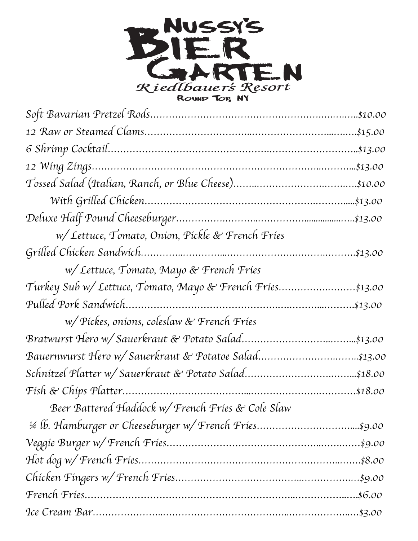

| w/ Lettuce, Tomato, Onion, Pickle & French Fries          |  |
|-----------------------------------------------------------|--|
|                                                           |  |
| w/ Lettuce, Tomato, Mayo & French Fries                   |  |
| Turkey Sub w/ Lettuce, Tomato, Mayo & French Fries\$13.00 |  |
|                                                           |  |
| w/Pickes, onions, coleslaw & French Fries                 |  |
|                                                           |  |
| Bauernwurst Hero w/ Sauerkraut & Potatoe Salad\$13.00     |  |
|                                                           |  |
|                                                           |  |
| Beer Battered Haddock w/ French Fries & Cole Slaw         |  |
|                                                           |  |
|                                                           |  |
|                                                           |  |
|                                                           |  |
|                                                           |  |
|                                                           |  |